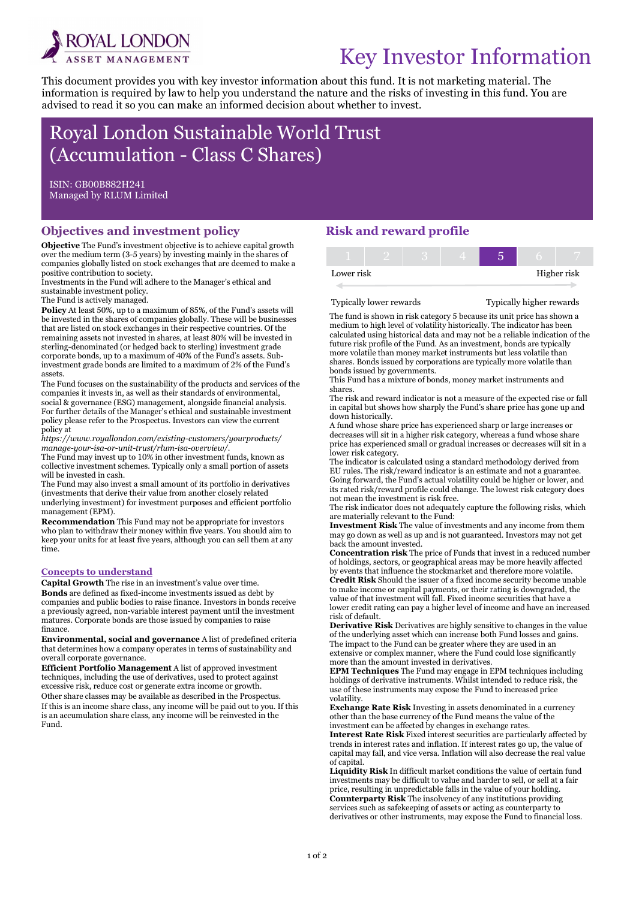

# Key Investor Information

This document provides you with key investor information about this fund. It is not marketing material. The information is required by law to help you understand the nature and the risks of investing in this fund. You are advised to read it so you can make an informed decision about whether to invest.

## Royal London Sustainable World Trust (Accumulation - Class C Shares)

ISIN: GB00B882H241 Managed by RLUM Limited

Ī

#### Objectives and investment policy

Objective The Fund's investment objective is to achieve capital growth over the medium term (3-5 years) by investing mainly in the shares of companies globally listed on stock exchanges that are deemed to make a positive contribution to society.

Investments in the Fund will adhere to the Manager's ethical and sustainable investment policy.

The Fund is actively managed.

Policy At least 50%, up to a maximum of 85%, of the Fund's assets will be invested in the shares of companies globally. These will be businesses that are listed on stock exchanges in their respective countries. Of the remaining assets not invested in shares, at least 80% will be invested in sterling-denominated (or hedged back to sterling) investment grade corporate bonds, up to a maximum of 40% of the Fund's assets. Subinvestment grade bonds are limited to a maximum of 2% of the Fund's assets.

The Fund focuses on the sustainability of the products and services of the companies it invests in, as well as their standards of environmental, social & governance (ESG) management, alongside financial analysis. For further details of the Manager's ethical and sustainable investment policy please refer to the Prospectus. Investors can view the current policy at

https://www.royallondon.com/existing-customers/yourproducts/ manage-your-isa-or-unit-trust/rlum-isa-overview/.

The Fund may invest up to 10% in other investment funds, known as collective investment schemes. Typically only a small portion of assets will be invested in cash.

The Fund may also invest a small amount of its portfolio in derivatives (investments that derive their value from another closely related underlying investment) for investment purposes and efficient portfolio management (EPM).

Recommendation This Fund may not be appropriate for investors who plan to withdraw their money within five years. You should aim to keep your units for at least five years, although you can sell them at any time.

#### Concepts to understand

Capital Growth The rise in an investment's value over time. Bonds are defined as fixed-income investments issued as debt by companies and public bodies to raise finance. Investors in bonds receive a previously agreed, non-variable interest payment until the investment matures. Corporate bonds are those issued by companies to raise finance.

Environmental, social and governance A list of predefined criteria that determines how a company operates in terms of sustainability and overall corporate governance.

Efficient Portfolio Management A list of approved investment techniques, including the use of derivatives, used to protect against excessive risk, reduce cost or generate extra income or growth. Other share classes may be available as described in the Prospectus. If this is an income share class, any income will be paid out to you. If this is an accumulation share class, any income will be reinvested in the Fund.

#### Risk and reward profile

| Lower risk |  |  | Higher risk |  |  |
|------------|--|--|-------------|--|--|
|            |  |  |             |  |  |

Typically lower rewards Typically higher rewards

The fund is shown in risk category 5 because its unit price has shown a medium to high level of volatility historically. The indicator has been calculated using historical data and may not be a reliable indication of the future risk profile of the Fund. As an investment, bonds are typically more volatile than money market instruments but less volatile than shares. Bonds issued by corporations are typically more volatile than bonds issued by governments.

This Fund has a mixture of bonds, money market instruments and shares.

The risk and reward indicator is not a measure of the expected rise or fall in capital but shows how sharply the Fund's share price has gone up and down historically.

A fund whose share price has experienced sharp or large increases or decreases will sit in a higher risk category, whereas a fund whose share price has experienced small or gradual increases or decreases will sit in a lower risk category.

The indicator is calculated using a standard methodology derived from EU rules. The risk/reward indicator is an estimate and not a guarantee. Going forward, the Fund's actual volatility could be higher or lower, and its rated risk/reward profile could change. The lowest risk category does not mean the investment is risk free.

The risk indicator does not adequately capture the following risks, which are materially relevant to the Fund:

Investment Risk The value of investments and any income from them may go down as well as up and is not guaranteed. Investors may not get back the amount invested.

Concentration risk The price of Funds that invest in a reduced number of holdings, sectors, or geographical areas may be more heavily affected by events that influence the stockmarket and therefore more volatile.

Credit Risk Should the issuer of a fixed income security become unable to make income or capital payments, or their rating is downgraded, the value of that investment will fall. Fixed income securities that have a lower credit rating can pay a higher level of income and have an increased risk of default.

Derivative Risk Derivatives are highly sensitive to changes in the value of the underlying asset which can increase both Fund losses and gains. The impact to the Fund can be greater where they are used in an extensive or complex manner, where the Fund could lose significantly more than the amount invested in derivatives.

EPM Techniques The Fund may engage in EPM techniques including holdings of derivative instruments. Whilst intended to reduce risk, the use of these instruments may expose the Fund to increased price volatility.

Exchange Rate Risk Investing in assets denominated in a currency other than the base currency of the Fund means the value of the investment can be affected by changes in exchange rates.

Interest Rate Risk Fixed interest securities are particularly affected by trends in interest rates and inflation. If interest rates go up, the value of capital may fall, and vice versa. Inflation will also decrease the real value of capital.

Liquidity Risk In difficult market conditions the value of certain fund investments may be difficult to value and harder to sell, or sell at a fair price, resulting in unpredictable falls in the value of your holding. Counterparty Risk The insolvency of any institutions providing services such as safekeeping of assets or acting as counterparty to derivatives or other instruments, may expose the Fund to financial loss.